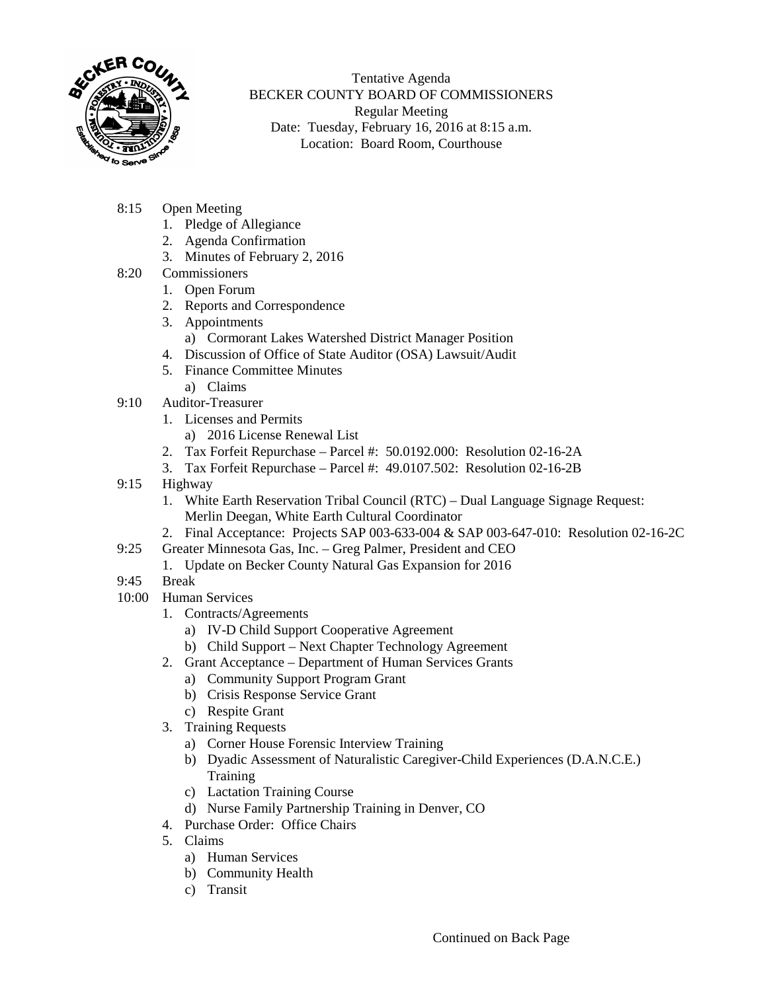

Tentative Agenda BECKER COUNTY BOARD OF COMMISSIONERS Regular Meeting Date: Tuesday, February 16, 2016 at 8:15 a.m. Location: Board Room, Courthouse

- 8:15 Open Meeting
	- 1. Pledge of Allegiance
	- 2. Agenda Confirmation
	- 3. Minutes of February 2, 2016
- 8:20 Commissioners
	- 1. Open Forum
	- 2. Reports and Correspondence
	- 3. Appointments
		- a) Cormorant Lakes Watershed District Manager Position
	- 4. Discussion of Office of State Auditor (OSA) Lawsuit/Audit
	- 5. Finance Committee Minutes
	- a) Claims
- 9:10 Auditor-Treasurer
	- 1. Licenses and Permits
		- a) 2016 License Renewal List
	- 2. Tax Forfeit Repurchase Parcel #: 50.0192.000: Resolution 02-16-2A
	- 3. Tax Forfeit Repurchase Parcel #: 49.0107.502: Resolution 02-16-2B
- 9:15 Highway
	- 1. White Earth Reservation Tribal Council (RTC) Dual Language Signage Request: Merlin Deegan, White Earth Cultural Coordinator
	- 2. Final Acceptance: Projects SAP 003-633-004 & SAP 003-647-010: Resolution 02-16-2C
- 9:25 Greater Minnesota Gas, Inc. Greg Palmer, President and CEO
	- 1. Update on Becker County Natural Gas Expansion for 2016
- 9:45 Break
- 10:00 Human Services
	- 1. Contracts/Agreements
		- a) IV-D Child Support Cooperative Agreement
		- b) Child Support Next Chapter Technology Agreement
		- 2. Grant Acceptance Department of Human Services Grants
			- a) Community Support Program Grant
			- b) Crisis Response Service Grant
			- c) Respite Grant
		- 3. Training Requests
			- a) Corner House Forensic Interview Training
			- b) Dyadic Assessment of Naturalistic Caregiver-Child Experiences (D.A.N.C.E.) **Training**
			- c) Lactation Training Course
			- d) Nurse Family Partnership Training in Denver, CO
	- 4. Purchase Order: Office Chairs
	- 5. Claims
		- a) Human Services
		- b) Community Health
		- c) Transit